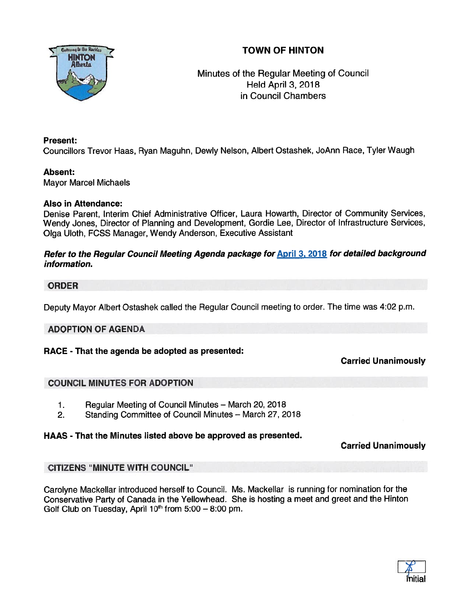# TOWN OF HINTON



## Minutes of the Regular Meeting of Council Held April 3, 2018 in Council Chambers

#### Present:

Councillors Trevor Haas, Ryan Maguhn, Dewly Nelson, Albert Ostashek, JoAnn Race, Tyler Waugh

#### Absent:

Mayor Marcel Michaels

#### Also in Attendance:

Denise Parent, Interim Chief Administrative Officer, Laura Howarth, Director of Community Services, Wendy Jones, Director of Planning and Development, Gordie Lee, Director of Infrastructure Services, Olga Uloth, FCSS Manager, Wendy Anderson, Executive Assistant

#### Refer to the Regular Council Meeting Agenda package for **April 3, 2018** for detailed background information.

## ORDER

Deputy Mayor Albert Ostashek called the Regular Council meeting to order. The time was 4:02 p.m.

## ADOPTION OF AGENDA

## RACE - That the agenda be adopted as presented:

## Carried Unanimously

## COUNCIL MINUTES FOR ADOPTION

- 1. Regular Meeting of Council Minutes March 20, 2018
- 2. Standing Committee of Council Minutes March 27, 2018

## HAAS - That the Minutes listed above be approved as presented.

## Carried Unanimously

## CITIZENS "MINUTE WITH COUNCIL"

Carolyne Mackellar introduced herself to Council. Ms. Mackellar is running for nomination for the Conservative Party of Canada in the Yellowhead. She is hosting <sup>a</sup> meet and gree<sup>t</sup> and the Hinton Golf Club on Tuesday, April  $10<sup>th</sup>$  from 5:00 – 8:00 pm.

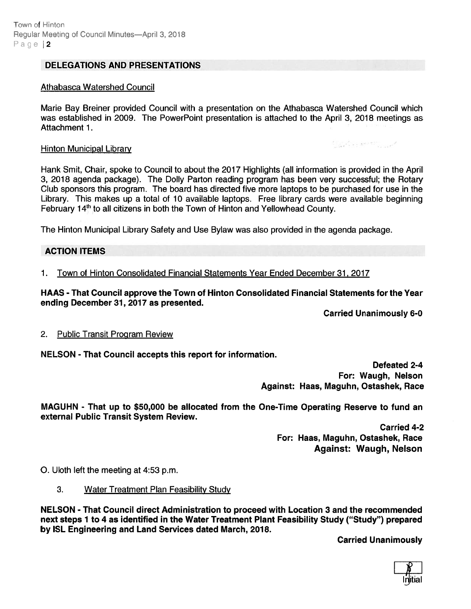#### DELEGATIONS AND PRESENTATIONS

#### Athabasca Watershed Council

Marie Bay Breiner provided Council with <sup>a</sup> presentation on the Athabasca Watershed Council which was established in 2009. The PowerPoint presentation is attached to the April 3, 2018 meetings as Attachment 1.

# **Hinton Municipal Library V**• **Channel Contract Contract Contract Contract Contract Contract Contract Contract Contract Contract Contract Contract Contract Contract Contract Contract Contract Contract Contract Contract Con**

Hank Smit, Chair, spoke to Council to about the 2017 Highlights (all information is provided in the April 3, 2018 agenda package). The Dolly Parton reading program has been very successful; the Rotary Club sponsors this program. The board has directed five more laptops to be purchased for use in the Library. This makes up <sup>a</sup> total of 10 available laptops. Free library cards were available beginning February 14<sup>th</sup> to all citizens in both the Town of Hinton and Yellowhead County.

The Hinton Municipal Library Safety and Use Bylaw was also provided in the agenda package.

#### ACTION ITEMS

1. Town of Hinton Consolidated Financial Statements Year Ended December 31, 2017

HAAS - That Council approve the Town of Hinton Consolidated Financial Statements for the Year ending December 31, 2017 as presented.

Carried Unanimously 6-0

#### 2. Public Transit Program Review

NELSON - That Council accepts this repor<sup>t</sup> for information.

Defeated 2-4 For: Waugh, Nelson Against: Haas, Maguhn, Ostashek, Race

MAGUHN - That up to \$50,000 be allocated from the One-Time Operating Reserve to fund an external Public Transit System Review.

> Carried 4-2 For: Haas, Maguhn, Ostashek, Race Against: Waugh, Nelson

0. Uloth left the meeting at 4:53 p.m.

3. Water Treatment Plan Feasibility Study

NELSON - That Council direct Administration to proceed with Location 3 and the recommended next steps 1 to 4 as identified in the Water Treatment Plant Feasibility Study ("Study") prepared by ISL Engineering and Land Services dated March, 2018.

Carried Unanimously

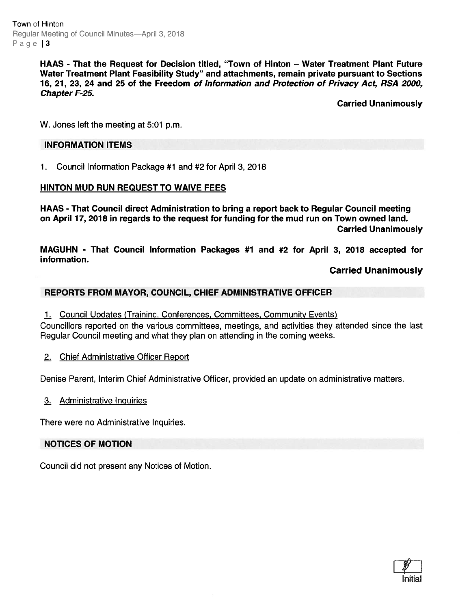Town of Hinton Regular Meeting of Council Minutes-April 3, 2018 Page 3

> HAAS - That the Request for Decision titled, "Town of Hinton — Water Treatment Plant Future Water Treatment Plant Feasibility Study" and attachments, remain private pursuan<sup>t</sup> to Sections 16, 21, 23, 24 and 25 of the Freedom of Information and Protection of Privacy Act, RSA 2000, Chapter F-25.

> > Carried Unanimously

W. Jones left the meeting at 5:01 p.m.

#### INFORMATION ITEMS

1. Council Information Package #1 and #2 for April 3, 2018

#### HINTON MUD RUN REQUEST TO WAIVE FEES

HAAS - That Council direct Administration to bring <sup>a</sup> repor<sup>t</sup> back to Regular Council meeting on April 17, 2018 in regards to the reques<sup>t</sup> for funding for the mud run on Town owned land. Carried Unanimously

MAGUHN - That Council Information Packages #7 and #2 for April 3, 2018 accepted for information.

Carried Unanimously

#### REPORTS FROM MAYOR, COUNCIL, CHIEF ADMINISTRATIVE OFFICER

1. Council Updates (Training, Conferences, Committees, Community Events)

Councillors reported on the various committees, meetings, and activities they attended since the last Regular Council meeting and what they plan on attending in the coming weeks.

2. Chief Administrative Officer Report

Denise Parent, Interim Chief Administrative Officer, provided an update on administrative matters.

3. Administrative Inquiries

There were no Administrative Inquiries.

#### NOTICES OF MOTION

Council did not presen<sup>t</sup> any Notices of Motion.